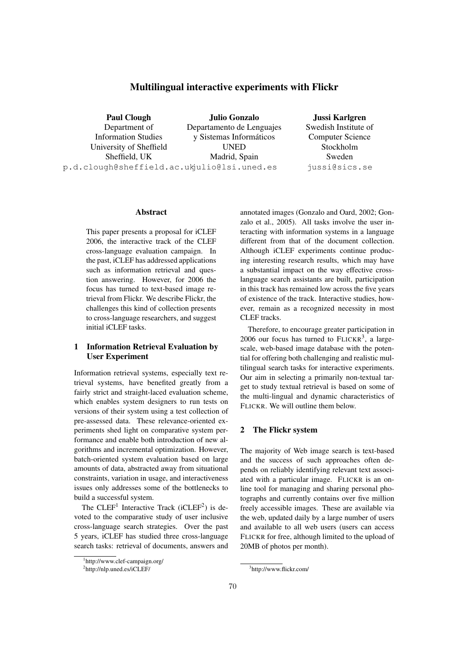# Multilingual interactive experiments with Flickr

Julio Gonzalo

Paul Clough

Department of Information Studies University of Sheffield Sheffield, UK p.d.clough@sheffield.ac.uk julio@lsi.uned.es Departamento de Lenguajes y Sistemas Informaticos ´ UNED Madrid, Spain

Jussi Karlgren Swedish Institute of Computer Science Stockholm Sweden jussi@sics.se

# Abstract

This paper presents a proposal for iCLEF 2006, the interactive track of the CLEF cross-language evaluation campaign. In the past, iCLEF has addressed applications such as information retrieval and question answering. However, for 2006 the focus has turned to text-based image retrieval from Flickr. We describe Flickr, the challenges this kind of collection presents to cross-language researchers, and suggest initial iCLEF tasks.

# 1 Information Retrieval Evaluation by User Experiment

Information retrieval systems, especially text retrieval systems, have benefited greatly from a fairly strict and straight-laced evaluation scheme, which enables system designers to run tests on versions of their system using a test collection of pre-assessed data. These relevance-oriented experiments shed light on comparative system performance and enable both introduction of new algorithms and incremental optimization. However, batch-oriented system evaluation based on large amounts of data, abstracted away from situational constraints, variation in usage, and interactiveness issues only addresses some of the bottlenecks to build a successful system.

The CLEF<sup>1</sup> Interactive Track (iCLEF<sup>2</sup>) is devoted to the comparative study of user inclusive cross-language search strategies. Over the past 5 years, iCLEF has studied three cross-language search tasks: retrieval of documents, answers and

annotated images (Gonzalo and Oard, 2002; Gonzalo et al., 2005). All tasks involve the user interacting with information systems in a language different from that of the document collection. Although iCLEF experiments continue producing interesting research results, which may have a substantial impact on the way effective crosslanguage search assistants are built, participation in this track has remained low across the five years of existence of the track. Interactive studies, however, remain as a recognized necessity in most CLEF tracks.

Therefore, to encourage greater participation in  $2006$  our focus has turned to  $FLICKR<sup>3</sup>$ , a largescale, web-based image database with the potential for offering both challenging and realistic multilingual search tasks for interactive experiments. Our aim in selecting a primarily non-textual target to study textual retrieval is based on some of the multi-lingual and dynamic characteristics of FLICKR. We will outline them below.

## 2 The Flickr system

The majority of Web image search is text-based and the success of such approaches often depends on reliably identifying relevant text associated with a particular image. FLICKR is an online tool for managing and sharing personal photographs and currently contains over five million freely accessible images. These are available via the web, updated daily by a large number of users and available to all web users (users can access FLICKR for free, although limited to the upload of 20MB of photos per month).

<sup>1</sup> http://www.clef-campaign.org/

<sup>&</sup>lt;sup>2</sup>http://nlp.uned.es/iCLEF/

<sup>3</sup> http://www.flickr.com/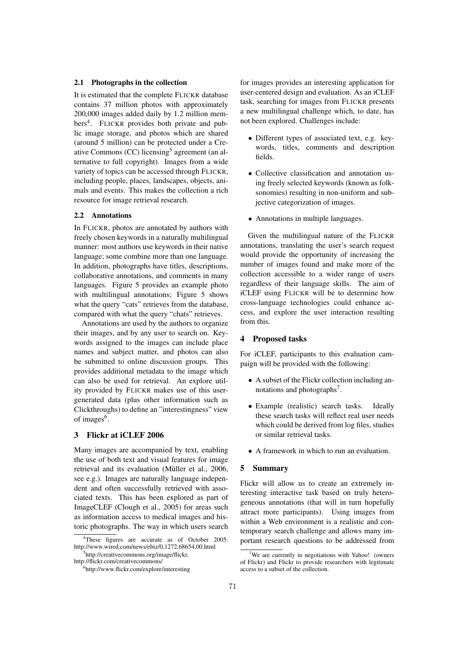#### 2.1 Photographs in the collection

It is estimated that the complete FLICKR database contains 37 million photos with approximately 200,000 images added daily by 1.2 million members<sup>4</sup>. FLICKR provides both private and public image storage, and photos which are shared (around 5 million) can be protected under a Creative Commons (CC) licensing<sup>5</sup> agreement (an alternative to full copyright). Images from a wide variety of topics can be accessed through FLICKR, including people, places, landscapes, objects, animals and events. This makes the collection a rich resource for image retrieval research.

#### 2.2 Annotations

In FLICKR, photos are annotated by authors with freely chosen keywords in a naturally multilingual manner: most authors use keywords in their native language; some combine more than one language. In addition, photographs have titles, descriptions, collaborative annotations, and comments in many languages. Figure 5 provides an example photo with multilingual annotations; Figure 5 shows what the query "cats" retrieves from the database, compared with what the query "chats" retrieves.

Annotations are used by the authors to organize their images, and by any user to search on. Keywords assigned to the images can include place names and subject matter, and photos can also be submitted to online discussion groups. This provides additional metadata to the image which can also be used for retrieval. An explore utility provided by FLICKR makes use of this usergenerated data (plus other information such as Clickthroughs) to define an "interestingness" view of images<sup>6</sup>.

#### 3 Flickr at iCLEF 2006

Many images are accompanied by text, enabling the use of both text and visual features for image retrieval and its evaluation (Müller et al., 2006, see e.g.). Images are naturally language independent and often successfully retrieved with associated texts. This has been explored as part of ImageCLEF (Clough et al., 2005) for areas such as information access to medical images and historic photographs. The way in which users search for images provides an interesting application for user-centered design and evaluation. As an iCLEF task, searching for images from FLICKR presents a new multilingual challenge which, to date, has not been explored. Challenges include:

- Different types of associated text, e.g. keywords, titles, comments and description fields.
- Collective classification and annotation using freely selected keywords (known as folksonomies) resulting in non-uniform and subjective categorization of images.
- Annotations in multiple languages.

Given the multilingual nature of the FLICKR annotations, translating the user's search request would provide the opportunity of increasing the number of images found and make more of the collection accessible to a wider range of users regardless of their language skills. The aim of iCLEF using FLICKR will be to determine how cross-language technologies could enhance access, and explore the user interaction resulting from this.

# 4 Proposed tasks

For iCLEF, participants to this evaluation campaign will be provided with the following:

- A subset of the Flickr collection including annotations and photographs<sup>7</sup>.
- Example (realistic) search tasks. Ideally these search tasks will reflect real user needs which could be derived from log files, studies or similar retrieval tasks.
- A framework in which to run an evaluation.

# 5 Summary

Flickr will allow us to create an extremely interesting interactive task based on truly heterogeneous annotations (that will in turn hopefully attract more participants). Using images from within a Web environment is a realistic and contemporary search challenge and allows many important research questions to be addressed from

<sup>4</sup>These figures are accurate as of October 2005: http://www.wired.com/news/ebiz/0,1272,68654,00.html

<sup>5</sup> http://creativecommons.org/image/flickr, http://flickr.com/creativecommons/

<sup>6</sup> http://www.flickr.com/explore/interesting

<sup>7</sup>We are currently in negotiations with Yahoo! (owners of Flickr) and Flickr to provide researchers with legitimate access to a subset of the collection.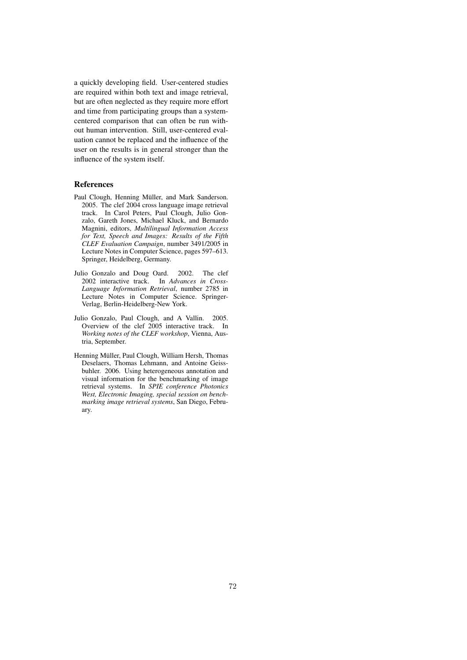a quickly developing field. User-centered studies are required within both text and image retrieval, but are often neglected as they require more effort and time from participating groups than a systemcentered comparison that can often be run without human intervention. Still, user-centered evaluation cannot be replaced and the influence of the user on the results is in general stronger than the influence of the system itself.

# References

- Paul Clough, Henning Müller, and Mark Sanderson. 2005. The clef 2004 cross language image retrieval track. In Carol Peters, Paul Clough, Julio Gonzalo, Gareth Jones, Michael Kluck, and Bernardo Magnini, editors, *Multilingual Information Access for Text, Speech and Images: Results of the Fifth CLEF Evaluation Campaign*, number 3491/2005 in Lecture Notes in Computer Science, pages 597–613. Springer, Heidelberg, Germany.
- Julio Gonzalo and Doug Oard. 2002. The clef 2002 interactive track. In *Advances in Cross-Language Information Retrieval*, number 2785 in Lecture Notes in Computer Science. Springer-Verlag, Berlin-Heidelberg-New York.
- Julio Gonzalo, Paul Clough, and A Vallin. 2005. Overview of the clef 2005 interactive track. In *Working notes of the CLEF workshop*, Vienna, Austria, September.
- Henning Müller, Paul Clough, William Hersh, Thomas Deselaers, Thomas Lehmann, and Antoine Geissbuhler. 2006. Using heterogeneous annotation and visual information for the benchmarking of image retrieval systems. In *SPIE conference Photonics West, Electronic Imaging, special session on benchmarking image retrieval systems*, San Diego, February.